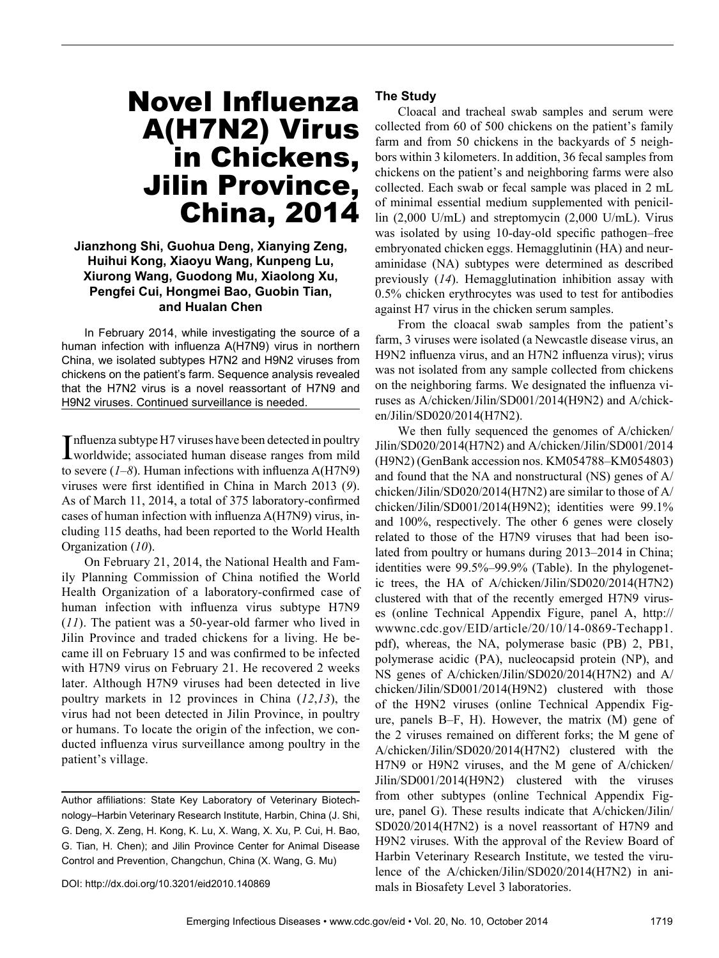## Novel Influenza A(H7N2) Virus in Chickens, Jilin Province, China, 2014

#### **Jianzhong Shi, Guohua Deng, Xianying Zeng, Huihui Kong, Xiaoyu Wang, Kunpeng Lu, Xiurong Wang, Guodong Mu, Xiaolong Xu, Pengfei Cui, Hongmei Bao, Guobin Tian, and Hualan Chen**

In February 2014, while investigating the source of a human infection with influenza A(H7N9) virus in northern China, we isolated subtypes H7N2 and H9N2 viruses from chickens on the patient's farm. Sequence analysis revealed that the H7N2 virus is a novel reassortant of H7N9 and H9N2 viruses. Continued surveillance is needed.

Influenza subtype H7 viruses have been detected in poultry<br>worldwide; associated human disease ranges from mild worldwide; associated human disease ranges from mild to severe (*1*–*8*). Human infections with influenza A(H7N9) viruses were first identified in China in March 2013 (*9*). As of March 11, 2014, a total of 375 laboratory-confirmed cases of human infection with influenza A(H7N9) virus, including 115 deaths, had been reported to the World Health Organization (*10*).

On February 21, 2014, the National Health and Family Planning Commission of China notified the World Health Organization of a laboratory-confirmed case of human infection with influenza virus subtype H7N9 (*11*). The patient was a 50-year-old farmer who lived in Jilin Province and traded chickens for a living. He became ill on February 15 and was confirmed to be infected with H7N9 virus on February 21. He recovered 2 weeks later. Although H7N9 viruses had been detected in live poultry markets in 12 provinces in China (*12*,*13*), the virus had not been detected in Jilin Province, in poultry or humans. To locate the origin of the infection, we conducted influenza virus surveillance among poultry in the patient's village.

Author affiliations: State Key Laboratory of Veterinary Biotechnology–Harbin Veterinary Research Institute, Harbin, China (J. Shi, G. Deng, X. Zeng, H. Kong, K. Lu, X. Wang, X. Xu, P. Cui, H. Bao, G. Tian, H. Chen); and Jilin Province Center for Animal Disease Control and Prevention, Changchun, China (X. Wang, G. Mu)

#### **The Study**

Cloacal and tracheal swab samples and serum were collected from 60 of 500 chickens on the patient's family farm and from 50 chickens in the backyards of 5 neighbors within 3 kilometers. In addition, 36 fecal samples from chickens on the patient's and neighboring farms were also collected. Each swab or fecal sample was placed in 2 mL of minimal essential medium supplemented with penicillin (2,000 U/mL) and streptomycin (2,000 U/mL). Virus was isolated by using 10-day-old specific pathogen–free embryonated chicken eggs. Hemagglutinin (HA) and neuraminidase (NA) subtypes were determined as described previously (*14*). Hemagglutination inhibition assay with 0.5% chicken erythrocytes was used to test for antibodies against H7 virus in the chicken serum samples.

From the cloacal swab samples from the patient's farm, 3 viruses were isolated (a Newcastle disease virus, an H9N2 influenza virus, and an H7N2 influenza virus); virus was not isolated from any sample collected from chickens on the neighboring farms. We designated the influenza viruses as A/chicken/Jilin/SD001/2014(H9N2) and A/chicken/Jilin/SD020/2014(H7N2).

We then fully sequenced the genomes of A/chicken/ Jilin/SD020/2014(H7N2) and A/chicken/Jilin/SD001/2014 (H9N2) (GenBank accession nos. KM054788–KM054803) and found that the NA and nonstructural (NS) genes of A/ chicken/Jilin/SD020/2014(H7N2) are similar to those of A/ chicken/Jilin/SD001/2014(H9N2); identities were 99.1% and 100%, respectively. The other 6 genes were closely related to those of the H7N9 viruses that had been isolated from poultry or humans during 2013–2014 in China; identities were 99.5%–99.9% (Table). In the phylogenetic trees, the HA of A/chicken/Jilin/SD020/2014(H7N2) clustered with that of the recently emerged H7N9 viruses (online Technical Appendix Figure, panel A, http:// wwwnc.cdc.gov/EID/article/20/10/14-0869-Techapp1. pdf), whereas, the NA, polymerase basic (PB) 2, PB1, polymerase acidic (PA), nucleocapsid protein (NP), and NS genes of A/chicken/Jilin/SD020/2014(H7N2) and A/ chicken/Jilin/SD001/2014(H9N2) clustered with those of the H9N2 viruses (online Technical Appendix Figure, panels B–F, H). However, the matrix (M) gene of the 2 viruses remained on different forks; the M gene of A/chicken/Jilin/SD020/2014(H7N2) clustered with the H7N9 or H9N2 viruses, and the M gene of A/chicken/ Jilin/SD001/2014(H9N2) clustered with the viruses from other subtypes (online Technical Appendix Figure, panel G). These results indicate that A/chicken/Jilin/ SD020/2014(H7N2) is a novel reassortant of H7N9 and H9N2 viruses. With the approval of the Review Board of Harbin Veterinary Research Institute, we tested the virulence of the A/chicken/Jilin/SD020/2014(H7N2) in animals in Biosafety Level 3 laboratories.

DOI: http://dx.doi.org/10.3201/eid2010.140869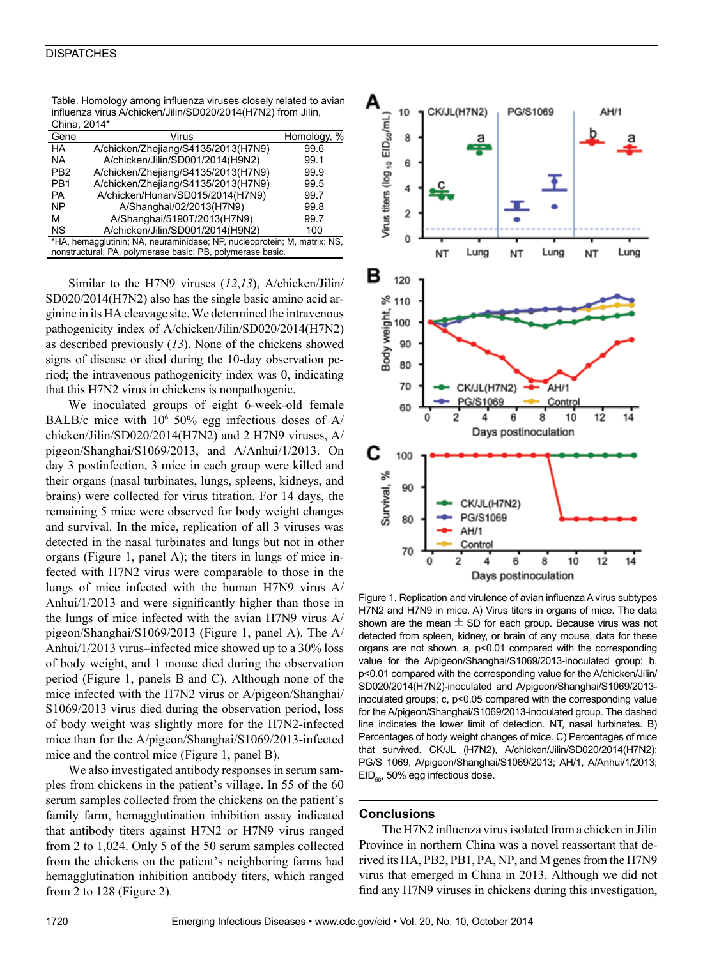#### **DISPATCHES**

| Table. Homology among influenza viruses closely related to avian |
|------------------------------------------------------------------|
| influenza virus A/chicken/Jilin/SD020/2014(H7N2) from Jilin,     |
| China, 2014*                                                     |

| Gene                                                                                                                                   | <b>Virus</b>                        | $\%$<br>Homology, |  |
|----------------------------------------------------------------------------------------------------------------------------------------|-------------------------------------|-------------------|--|
| HA                                                                                                                                     | A/chicken/Zhejiang/S4135/2013(H7N9) | 99.6              |  |
| <b>NA</b>                                                                                                                              | A/chicken/Jilin/SD001/2014(H9N2)    | 99.1              |  |
| PB <sub>2</sub>                                                                                                                        | A/chicken/Zhejiang/S4135/2013(H7N9) | 99.9              |  |
| PB <sub>1</sub>                                                                                                                        | A/chicken/Zhejiang/S4135/2013(H7N9) | 99.5              |  |
| <b>PA</b>                                                                                                                              | A/chicken/Hunan/SD015/2014(H7N9)    | 99.7              |  |
| <b>NP</b>                                                                                                                              | A/Shanghai/02/2013(H7N9)            | 99.8              |  |
| м                                                                                                                                      | A/Shanghai/5190T/2013(H7N9)         | 99.7              |  |
| <b>NS</b>                                                                                                                              | A/chicken/Jilin/SD001/2014(H9N2)    | 100               |  |
| *HA, hemagglutinin; NA, neuraminidase; NP, nucleoprotein; M, matrix; NS,<br>nonstructural; PA, polymerase basic; PB, polymerase basic. |                                     |                   |  |

Similar to the H7N9 viruses (*12*,*13*), A/chicken/Jilin/ SD020/2014(H7N2) also has the single basic amino acid arginine in its HA cleavage site. We determined the intravenous pathogenicity index of A/chicken/Jilin/SD020/2014(H7N2) as described previously (*13*). None of the chickens showed signs of disease or died during the 10-day observation period; the intravenous pathogenicity index was 0, indicating that this H7N2 virus in chickens is nonpathogenic.

We inoculated groups of eight 6-week-old female BALB/c mice with  $10^6$  50% egg infectious doses of A/ chicken/Jilin/SD020/2014(H7N2) and 2 H7N9 viruses, A/ pigeon/Shanghai/S1069/2013, and A/Anhui/1/2013. On day 3 postinfection, 3 mice in each group were killed and their organs (nasal turbinates, lungs, spleens, kidneys, and brains) were collected for virus titration. For 14 days, the remaining 5 mice were observed for body weight changes and survival. In the mice, replication of all 3 viruses was detected in the nasal turbinates and lungs but not in other organs (Figure 1, panel A); the titers in lungs of mice infected with H7N2 virus were comparable to those in the lungs of mice infected with the human H7N9 virus A/ Anhui/1/2013 and were significantly higher than those in the lungs of mice infected with the avian H7N9 virus A/ pigeon/Shanghai/S1069/2013 (Figure 1, panel A). The A/ Anhui/1/2013 virus–infected mice showed up to a 30% loss of body weight, and 1 mouse died during the observation period (Figure 1, panels B and C). Although none of the mice infected with the H7N2 virus or A/pigeon/Shanghai/ S1069/2013 virus died during the observation period, loss of body weight was slightly more for the H7N2-infected mice than for the A/pigeon/Shanghai/S1069/2013-infected mice and the control mice (Figure 1, panel B).

We also investigated antibody responses in serum samples from chickens in the patient's village. In 55 of the 60 serum samples collected from the chickens on the patient's family farm, hemagglutination inhibition assay indicated that antibody titers against H7N2 or H7N9 virus ranged from 2 to 1,024. Only 5 of the 50 serum samples collected from the chickens on the patient's neighboring farms had hemagglutination inhibition antibody titers, which ranged from 2 to 128 (Figure 2).



Figure 1. Replication and virulence of avian influenza A virus subtypes H7N2 and H7N9 in mice. A) Virus titers in organs of mice. The data shown are the mean  $\pm$  SD for each group. Because virus was not detected from spleen, kidney, or brain of any mouse, data for these organs are not shown. a, p<0.01 compared with the corresponding value for the A/pigeon/Shanghai/S1069/2013-inoculated group; b, p<0.01 compared with the corresponding value for the A/chicken/Jilin/ SD020/2014(H7N2)-inoculated and A/pigeon/Shanghai/S1069/2013 inoculated groups; c, p<0.05 compared with the corresponding value for the A/pigeon/Shanghai/S1069/2013-inoculated group. The dashed line indicates the lower limit of detection. NT, nasal turbinates. B) Percentages of body weight changes of mice. C) Percentages of mice that survived. CK/JL (H7N2), A/chicken/Jilin/SD020/2014(H7N2); PG/S 1069, A/pigeon/Shanghai/S1069/2013; AH/1, A/Anhui/1/2013;  $EID<sub>50</sub>$ , 50% egg infectious dose.

#### **Conclusions**

The H7N2 influenza virus isolated from a chicken in Jilin Province in northern China was a novel reassortant that derived its HA, PB2, PB1, PA, NP, and M genes from the H7N9 virus that emerged in China in 2013. Although we did not find any H7N9 viruses in chickens during this investigation,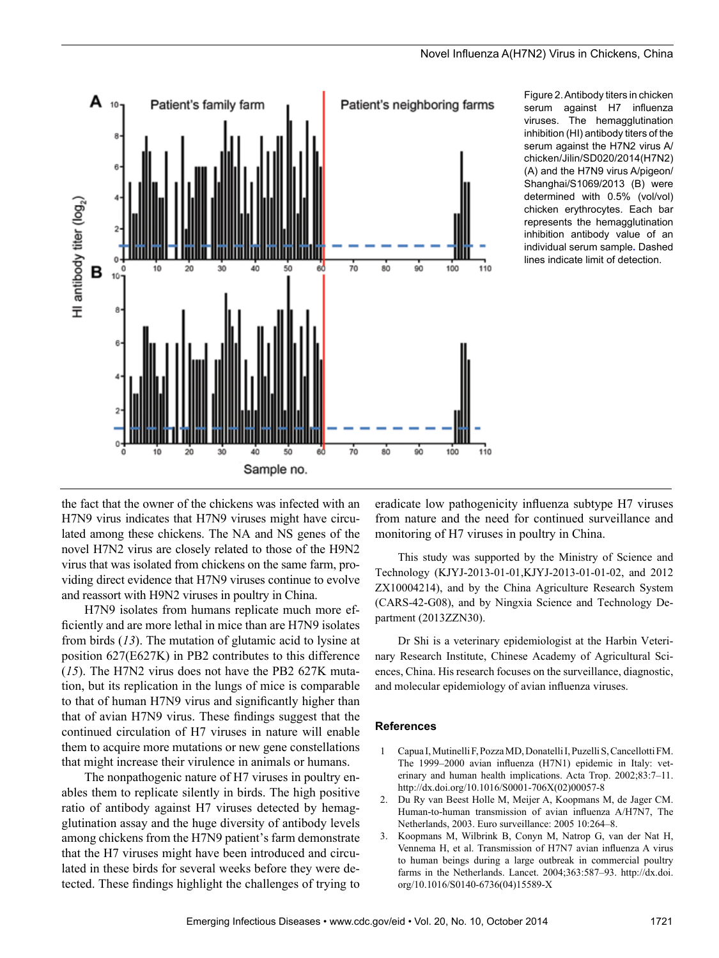

Figure 2. Antibody titers in chicken serum against H7 influenza viruses. The hemagglutination inhibition (HI) antibody titers of the serum against the H7N2 virus A/ chicken/Jilin/SD020/2014(H7N2) (A) and the H7N9 virus A/pigeon/ Shanghai/S1069/2013 (B) were determined with 0.5% (vol/vol) chicken erythrocytes. Each bar represents the hemagglutination inhibition antibody value of an individual serum sample**.** Dashed lines indicate limit of detection.

the fact that the owner of the chickens was infected with an H7N9 virus indicates that H7N9 viruses might have circulated among these chickens. The NA and NS genes of the novel H7N2 virus are closely related to those of the H9N2 virus that was isolated from chickens on the same farm, providing direct evidence that H7N9 viruses continue to evolve and reassort with H9N2 viruses in poultry in China.

H7N9 isolates from humans replicate much more efficiently and are more lethal in mice than are H7N9 isolates from birds (*13*). The mutation of glutamic acid to lysine at position 627(E627K) in PB2 contributes to this difference (*15*). The H7N2 virus does not have the PB2 627K mutation, but its replication in the lungs of mice is comparable to that of human H7N9 virus and significantly higher than that of avian H7N9 virus. These findings suggest that the continued circulation of H7 viruses in nature will enable them to acquire more mutations or new gene constellations that might increase their virulence in animals or humans.

The nonpathogenic nature of H7 viruses in poultry enables them to replicate silently in birds. The high positive ratio of antibody against H7 viruses detected by hemagglutination assay and the huge diversity of antibody levels among chickens from the H7N9 patient's farm demonstrate that the H7 viruses might have been introduced and circulated in these birds for several weeks before they were detected. These findings highlight the challenges of trying to

eradicate low pathogenicity influenza subtype H7 viruses from nature and the need for continued surveillance and monitoring of H7 viruses in poultry in China.

This study was supported by the Ministry of Science and Technology (KJYJ-2013-01-01,KJYJ-2013-01-01-02, and 2012 ZX10004214), and by the China Agriculture Research System (CARS-42-G08), and by Ningxia Science and Technology Department (2013ZZN30).

Dr Shi is a veterinary epidemiologist at the Harbin Veterinary Research Institute, Chinese Academy of Agricultural Sciences, China. His research focuses on the surveillance, diagnostic, and molecular epidemiology of avian influenza viruses.

#### **References**

- 1 Capua I, Mutinelli F, Pozza MD, Donatelli I, Puzelli S, Cancellotti FM. The 1999–2000 avian influenza (H7N1) epidemic in Italy: veterinary and human health implications. Acta Trop. 2002;83:7–11. http://dx.doi.org/10.1016/S0001-706X(02)00057-8
- 2. Du Ry van Beest Holle M, Meijer A, Koopmans M, de Jager CM. Human-to-human transmission of avian influenza A/H7N7, The Netherlands, 2003. Euro surveillance: 2005 10:264–8.
- 3. Koopmans M, Wilbrink B, Conyn M, Natrop G, van der Nat H, Vennema H, et al. Transmission of H7N7 avian influenza A virus to human beings during a large outbreak in commercial poultry farms in the Netherlands. Lancet. 2004;363:587–93. http://dx.doi. org/10.1016/S0140-6736(04)15589-X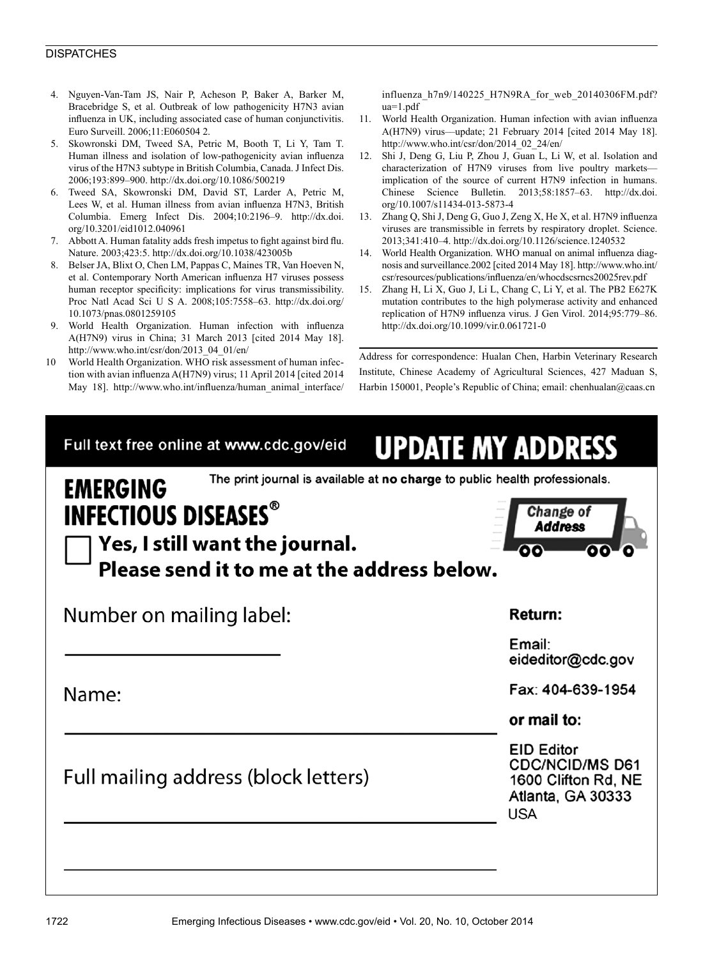#### **DISPATCHES**

- 4. Nguyen-Van-Tam JS, Nair P, Acheson P, Baker A, Barker M, Bracebridge S, et al. Outbreak of low pathogenicity H7N3 avian influenza in UK, including associated case of human conjunctivitis. Euro Surveill. 2006;11:E060504 2.
- 5. Skowronski DM, Tweed SA, Petric M, Booth T, Li Y, Tam T. Human illness and isolation of low-pathogenicity avian influenza virus of the H7N3 subtype in British Columbia, Canada. J Infect Dis. 2006;193:899–900. http://dx.doi.org/10.1086/500219
- 6. Tweed SA, Skowronski DM, David ST, Larder A, Petric M, Lees W, et al. Human illness from avian influenza H7N3, British Columbia. Emerg Infect Dis. 2004;10:2196–9. http://dx.doi. org/10.3201/eid1012.040961
- 7. Abbott A. Human fatality adds fresh impetus to fight against bird flu. Nature. 2003;423:5. http://dx.doi.org/10.1038/423005b
- 8. Belser JA, Blixt O, Chen LM, Pappas C, Maines TR, Van Hoeven N, et al. Contemporary North American influenza H7 viruses possess human receptor specificity: implications for virus transmissibility. Proc Natl Acad Sci U S A. 2008;105:7558–63. http://dx.doi.org/ 10.1073/pnas.0801259105
- 9. World Health Organization. Human infection with influenza A(H7N9) virus in China; 31 March 2013 [cited 2014 May 18]. http://www.who.int/csr/don/2013\_04\_01/en/
- 10 World Health Organization. WHO risk assessment of human infection with avian influenza A(H7N9) virus; 11 April 2014 [cited 2014 May 18]. http://www.who.int/influenza/human\_animal\_interface/

influenza\_h7n9/140225\_H7N9RA\_for\_web\_20140306FM.pdf? ua=1.pdf

- 11. World Health Organization. Human infection with avian influenza A(H7N9) virus––update; 21 February 2014 [cited 2014 May 18]. http://www.who.int/csr/don/2014\_02\_24/en/
- 12. Shi J, Deng G, Liu P, Zhou J, Guan L, Li W, et al. Isolation and characterization of H7N9 viruses from live poultry markets implication of the source of current H7N9 infection in humans. Chinese Science Bulletin. 2013;58:1857–63. http://dx.doi. org/10.1007/s11434-013-5873-4
- 13. Zhang Q, Shi J, Deng G, Guo J, Zeng X, He X, et al. H7N9 influenza viruses are transmissible in ferrets by respiratory droplet. Science. 2013;341:410–4. http://dx.doi.org/10.1126/science.1240532
- 14. World Health Organization. WHO manual on animal influenza diagnosis and surveillance.2002 [cited 2014 May 18]. http://www.who.int/ csr/resources/publications/influenza/en/whocdscsrncs20025rev.pdf
- 15. Zhang H, Li X, Guo J, Li L, Chang C, Li Y, et al. The PB2 E627K mutation contributes to the high polymerase activity and enhanced replication of H7N9 influenza virus. J Gen Virol. 2014;95:779–86. http://dx.doi.org/10.1099/vir.0.061721-0

Address for correspondence: Hualan Chen, Harbin Veterinary Research Institute, Chinese Academy of Agricultural Sciences, 427 Maduan S, Harbin 150001, People's Republic of China; email: chenhualan@caas.cn

| Full text free online at www.cdc.gov/eid                                                                    | <b>UPDATE MY ADDRESS</b>                                                                              |  |  |
|-------------------------------------------------------------------------------------------------------------|-------------------------------------------------------------------------------------------------------|--|--|
| The print journal is available at no charge to public health professionals.<br><b>EMERGING</b>              |                                                                                                       |  |  |
| <b>INFECTIOUS DISEASES®</b><br>Yes, I still want the journal.<br>Please send it to me at the address below. | Change of<br><b>Address</b>                                                                           |  |  |
| Number on mailing label:                                                                                    | Return:                                                                                               |  |  |
|                                                                                                             | Email:<br>eideditor@cdc.gov                                                                           |  |  |
| Name:                                                                                                       | Fax: 404-639-1954                                                                                     |  |  |
|                                                                                                             | or mail to:                                                                                           |  |  |
| Full mailing address (block letters)                                                                        | <b>EID Editor</b><br><b>CDC/NCID/MS D61</b><br>1600 Clifton Rd, NE<br>Atlanta, GA 30333<br><b>USA</b> |  |  |
|                                                                                                             |                                                                                                       |  |  |
|                                                                                                             |                                                                                                       |  |  |